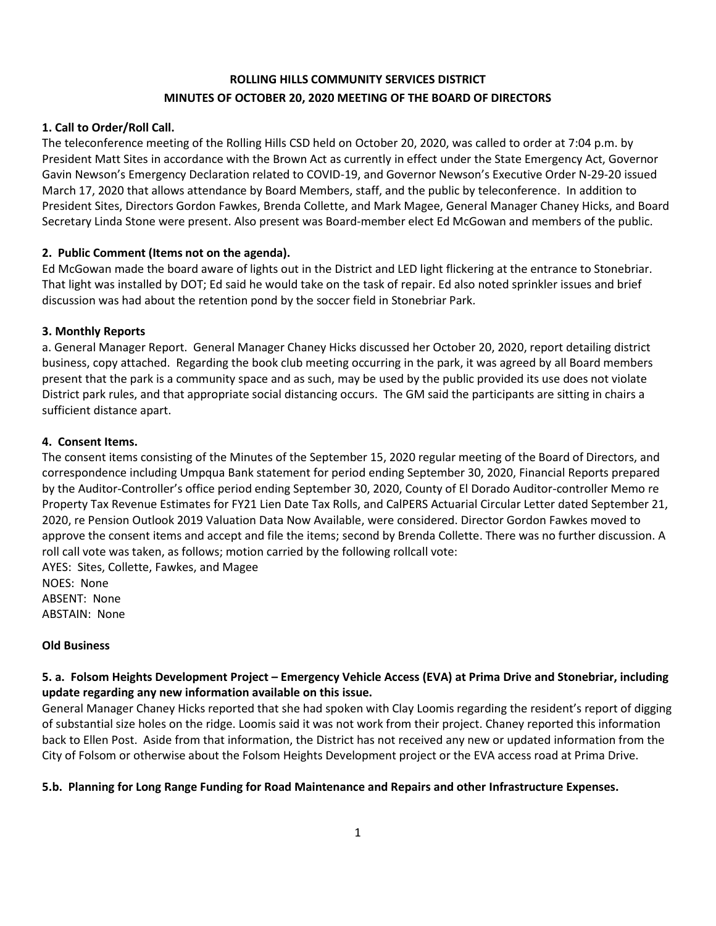# **ROLLING HILLS COMMUNITY SERVICES DISTRICT MINUTES OF OCTOBER 20, 2020 MEETING OF THE BOARD OF DIRECTORS**

## **1. Call to Order/Roll Call.**

The teleconference meeting of the Rolling Hills CSD held on October 20, 2020, was called to order at 7:04 p.m. by President Matt Sites in accordance with the Brown Act as currently in effect under the State Emergency Act, Governor Gavin Newson's Emergency Declaration related to COVID-19, and Governor Newson's Executive Order N-29-20 issued March 17, 2020 that allows attendance by Board Members, staff, and the public by teleconference. In addition to President Sites, Directors Gordon Fawkes, Brenda Collette, and Mark Magee, General Manager Chaney Hicks, and Board Secretary Linda Stone were present. Also present was Board-member elect Ed McGowan and members of the public.

## **2. Public Comment (Items not on the agenda).**

Ed McGowan made the board aware of lights out in the District and LED light flickering at the entrance to Stonebriar. That light was installed by DOT; Ed said he would take on the task of repair. Ed also noted sprinkler issues and brief discussion was had about the retention pond by the soccer field in Stonebriar Park.

## **3. Monthly Reports**

a. General Manager Report. General Manager Chaney Hicks discussed her October 20, 2020, report detailing district business, copy attached. Regarding the book club meeting occurring in the park, it was agreed by all Board members present that the park is a community space and as such, may be used by the public provided its use does not violate District park rules, and that appropriate social distancing occurs. The GM said the participants are sitting in chairs a sufficient distance apart.

## **4. Consent Items.**

The consent items consisting of the Minutes of the September 15, 2020 regular meeting of the Board of Directors, and correspondence including Umpqua Bank statement for period ending September 30, 2020, Financial Reports prepared by the Auditor-Controller's office period ending September 30, 2020, County of El Dorado Auditor-controller Memo re Property Tax Revenue Estimates for FY21 Lien Date Tax Rolls, and CalPERS Actuarial Circular Letter dated September 21, 2020, re Pension Outlook 2019 Valuation Data Now Available, were considered. Director Gordon Fawkes moved to approve the consent items and accept and file the items; second by Brenda Collette. There was no further discussion. A roll call vote was taken, as follows; motion carried by the following rollcall vote:

AYES: Sites, Collette, Fawkes, and Magee NOES: None ABSENT: None ABSTAIN: None

#### **Old Business**

## **5. a. Folsom Heights Development Project – Emergency Vehicle Access (EVA) at Prima Drive and Stonebriar, including update regarding any new information available on this issue.**

General Manager Chaney Hicks reported that she had spoken with Clay Loomis regarding the resident's report of digging of substantial size holes on the ridge. Loomis said it was not work from their project. Chaney reported this information back to Ellen Post. Aside from that information, the District has not received any new or updated information from the City of Folsom or otherwise about the Folsom Heights Development project or the EVA access road at Prima Drive.

#### **5.b. Planning for Long Range Funding for Road Maintenance and Repairs and other Infrastructure Expenses.**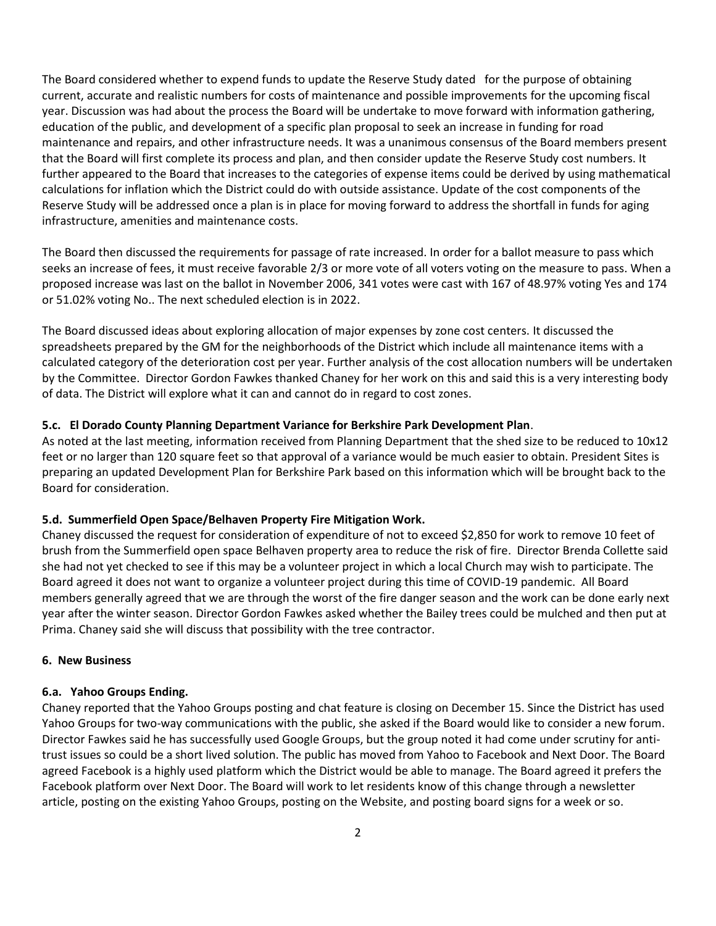The Board considered whether to expend funds to update the Reserve Study dated for the purpose of obtaining current, accurate and realistic numbers for costs of maintenance and possible improvements for the upcoming fiscal year. Discussion was had about the process the Board will be undertake to move forward with information gathering, education of the public, and development of a specific plan proposal to seek an increase in funding for road maintenance and repairs, and other infrastructure needs. It was a unanimous consensus of the Board members present that the Board will first complete its process and plan, and then consider update the Reserve Study cost numbers. It further appeared to the Board that increases to the categories of expense items could be derived by using mathematical calculations for inflation which the District could do with outside assistance. Update of the cost components of the Reserve Study will be addressed once a plan is in place for moving forward to address the shortfall in funds for aging infrastructure, amenities and maintenance costs.

The Board then discussed the requirements for passage of rate increased. In order for a ballot measure to pass which seeks an increase of fees, it must receive favorable 2/3 or more vote of all voters voting on the measure to pass. When a proposed increase was last on the ballot in November 2006, 341 votes were cast with 167 of 48.97% voting Yes and 174 or 51.02% voting No.. The next scheduled election is in 2022.

The Board discussed ideas about exploring allocation of major expenses by zone cost centers. It discussed the spreadsheets prepared by the GM for the neighborhoods of the District which include all maintenance items with a calculated category of the deterioration cost per year. Further analysis of the cost allocation numbers will be undertaken by the Committee. Director Gordon Fawkes thanked Chaney for her work on this and said this is a very interesting body of data. The District will explore what it can and cannot do in regard to cost zones.

## **5.c. El Dorado County Planning Department Variance for Berkshire Park Development Plan**.

As noted at the last meeting, information received from Planning Department that the shed size to be reduced to 10x12 feet or no larger than 120 square feet so that approval of a variance would be much easier to obtain. President Sites is preparing an updated Development Plan for Berkshire Park based on this information which will be brought back to the Board for consideration.

#### **5.d. Summerfield Open Space/Belhaven Property Fire Mitigation Work.**

Chaney discussed the request for consideration of expenditure of not to exceed \$2,850 for work to remove 10 feet of brush from the Summerfield open space Belhaven property area to reduce the risk of fire. Director Brenda Collette said she had not yet checked to see if this may be a volunteer project in which a local Church may wish to participate. The Board agreed it does not want to organize a volunteer project during this time of COVID-19 pandemic. All Board members generally agreed that we are through the worst of the fire danger season and the work can be done early next year after the winter season. Director Gordon Fawkes asked whether the Bailey trees could be mulched and then put at Prima. Chaney said she will discuss that possibility with the tree contractor.

#### **6. New Business**

#### **6.a. Yahoo Groups Ending.**

Chaney reported that the Yahoo Groups posting and chat feature is closing on December 15. Since the District has used Yahoo Groups for two-way communications with the public, she asked if the Board would like to consider a new forum. Director Fawkes said he has successfully used Google Groups, but the group noted it had come under scrutiny for antitrust issues so could be a short lived solution. The public has moved from Yahoo to Facebook and Next Door. The Board agreed Facebook is a highly used platform which the District would be able to manage. The Board agreed it prefers the Facebook platform over Next Door. The Board will work to let residents know of this change through a newsletter article, posting on the existing Yahoo Groups, posting on the Website, and posting board signs for a week or so.